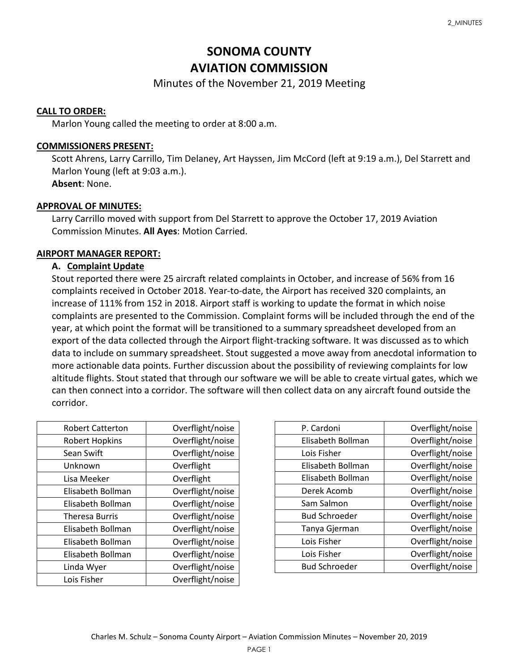# **SONOMA COUNTY AVIATION COMMISSION**

# Minutes of the November 21, 2019 Meeting

#### **CALL TO ORDER:**

Marlon Young called the meeting to order at 8:00 a.m.

#### **COMMISSIONERS PRESENT:**

Scott Ahrens, Larry Carrillo, Tim Delaney, Art Hayssen, Jim McCord (left at 9:19 a.m.), Del Starrett and Marlon Young (left at 9:03 a.m.). **Absent**: None.

#### **APPROVAL OF MINUTES:**

Larry Carrillo moved with support from Del Starrett to approve the October 17, 2019 Aviation Commission Minutes. **All Ayes**: Motion Carried.

# **AIRPORT MANAGER REPORT:**

# **A. Complaint Update**

Stout reported there were 25 aircraft related complaints in October, and increase of 56% from 16 complaints received in October 2018. Year-to-date, the Airport has received 320 complaints, an increase of 111% from 152 in 2018. Airport staff is working to update the format in which noise complaints are presented to the Commission. Complaint forms will be included through the end of the year, at which point the format will be transitioned to a summary spreadsheet developed from an export of the data collected through the Airport flight-tracking software. It was discussed as to which data to include on summary spreadsheet. Stout suggested a move away from anecdotal information to more actionable data points. Further discussion about the possibility of reviewing complaints for low altitude flights. Stout stated that through our software we will be able to create virtual gates, which we can then connect into a corridor. The software will then collect data on any aircraft found outside the corridor.

| <b>Robert Catterton</b> | Overflight/noise |
|-------------------------|------------------|
| <b>Robert Hopkins</b>   | Overflight/noise |
| Sean Swift              | Overflight/noise |
| Unknown                 | Overflight       |
| Lisa Meeker             | Overflight       |
| Elisabeth Bollman       | Overflight/noise |
| Elisabeth Bollman       | Overflight/noise |
| <b>Theresa Burris</b>   | Overflight/noise |
| Elisabeth Bollman       | Overflight/noise |
| Elisabeth Bollman       | Overflight/noise |
| Elisabeth Bollman       | Overflight/noise |
| Linda Wyer              | Overflight/noise |
| Lois Fisher             | Overflight/noise |

| P. Cardoni           | Overflight/noise |
|----------------------|------------------|
| Elisabeth Bollman    | Overflight/noise |
| Lois Fisher          | Overflight/noise |
| Elisabeth Bollman    | Overflight/noise |
| Elisabeth Bollman    | Overflight/noise |
| Derek Acomb          | Overflight/noise |
| Sam Salmon           | Overflight/noise |
| <b>Bud Schroeder</b> | Overflight/noise |
| Tanya Gjerman        | Overflight/noise |
| Lois Fisher          | Overflight/noise |
| Lois Fisher          | Overflight/noise |
| <b>Bud Schroeder</b> | Overflight/noise |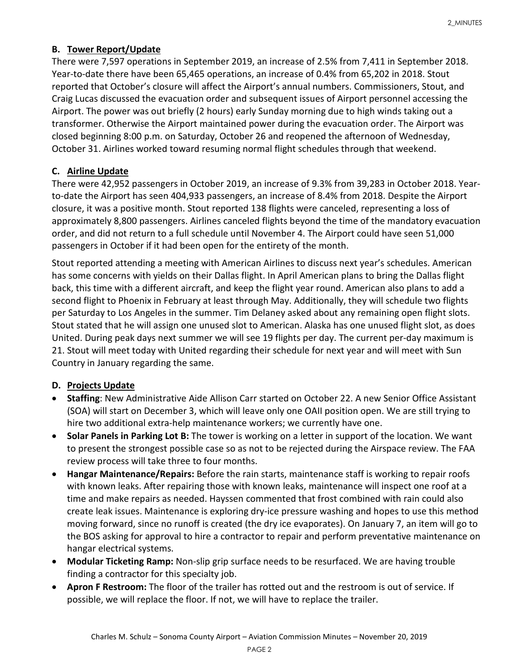# **B. Tower Report/Update**

There were 7,597 operations in September 2019, an increase of 2.5% from 7,411 in September 2018. Year-to-date there have been 65,465 operations, an increase of 0.4% from 65,202 in 2018. Stout reported that October's closure will affect the Airport's annual numbers. Commissioners, Stout, and Craig Lucas discussed the evacuation order and subsequent issues of Airport personnel accessing the Airport. The power was out briefly (2 hours) early Sunday morning due to high winds taking out a transformer. Otherwise the Airport maintained power during the evacuation order. The Airport was closed beginning 8:00 p.m. on Saturday, October 26 and reopened the afternoon of Wednesday, October 31. Airlines worked toward resuming normal flight schedules through that weekend.

# **C. Airline Update**

There were 42,952 passengers in October 2019, an increase of 9.3% from 39,283 in October 2018. Yearto-date the Airport has seen 404,933 passengers, an increase of 8.4% from 2018. Despite the Airport closure, it was a positive month. Stout reported 138 flights were canceled, representing a loss of approximately 8,800 passengers. Airlines canceled flights beyond the time of the mandatory evacuation order, and did not return to a full schedule until November 4. The Airport could have seen 51,000 passengers in October if it had been open for the entirety of the month.

Stout reported attending a meeting with American Airlines to discuss next year's schedules. American has some concerns with yields on their Dallas flight. In April American plans to bring the Dallas flight back, this time with a different aircraft, and keep the flight year round. American also plans to add a second flight to Phoenix in February at least through May. Additionally, they will schedule two flights per Saturday to Los Angeles in the summer. Tim Delaney asked about any remaining open flight slots. Stout stated that he will assign one unused slot to American. Alaska has one unused flight slot, as does United. During peak days next summer we will see 19 flights per day. The current per-day maximum is 21. Stout will meet today with United regarding their schedule for next year and will meet with Sun Country in January regarding the same.

#### **D. Projects Update**

- **Staffing**: New Administrative Aide Allison Carr started on October 22. A new Senior Office Assistant (SOA) will start on December 3, which will leave only one OAII position open. We are still trying to hire two additional extra-help maintenance workers; we currently have one.
- **Solar Panels in Parking Lot B:** The tower is working on a letter in support of the location. We want to present the strongest possible case so as not to be rejected during the Airspace review. The FAA review process will take three to four months.
- **Hangar Maintenance/Repairs:** Before the rain starts, maintenance staff is working to repair roofs with known leaks. After repairing those with known leaks, maintenance will inspect one roof at a time and make repairs as needed. Hayssen commented that frost combined with rain could also create leak issues. Maintenance is exploring dry-ice pressure washing and hopes to use this method moving forward, since no runoff is created (the dry ice evaporates). On January 7, an item will go to the BOS asking for approval to hire a contractor to repair and perform preventative maintenance on hangar electrical systems.
- **Modular Ticketing Ramp:** Non-slip grip surface needs to be resurfaced. We are having trouble finding a contractor for this specialty job.
- **Apron F Restroom:** The floor of the trailer has rotted out and the restroom is out of service. If possible, we will replace the floor. If not, we will have to replace the trailer.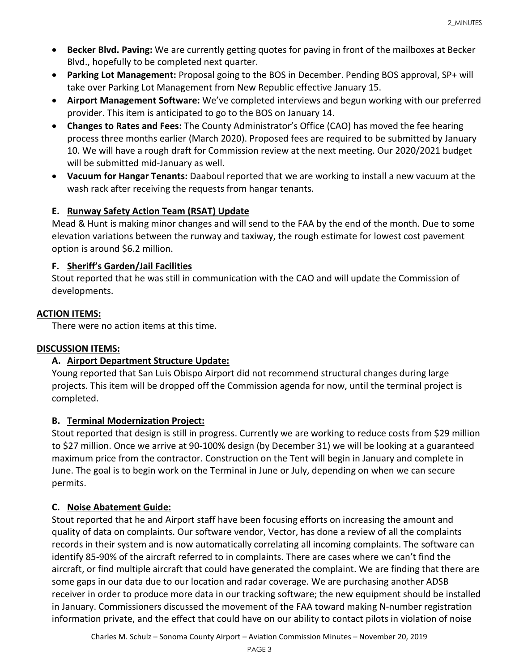- **Becker Blvd. Paving:** We are currently getting quotes for paving in front of the mailboxes at Becker Blvd., hopefully to be completed next quarter.
- **Parking Lot Management:** Proposal going to the BOS in December. Pending BOS approval, SP+ will take over Parking Lot Management from New Republic effective January 15.
- **Airport Management Software:** We've completed interviews and begun working with our preferred provider. This item is anticipated to go to the BOS on January 14.
- **Changes to Rates and Fees:** The County Administrator's Office (CAO) has moved the fee hearing process three months earlier (March 2020). Proposed fees are required to be submitted by January 10. We will have a rough draft for Commission review at the next meeting. Our 2020/2021 budget will be submitted mid-January as well.
- **Vacuum for Hangar Tenants:** Daaboul reported that we are working to install a new vacuum at the wash rack after receiving the requests from hangar tenants.

# **E. Runway Safety Action Team (RSAT) Update**

Mead & Hunt is making minor changes and will send to the FAA by the end of the month. Due to some elevation variations between the runway and taxiway, the rough estimate for lowest cost pavement option is around \$6.2 million.

# **F. Sheriff's Garden/Jail Facilities**

Stout reported that he was still in communication with the CAO and will update the Commission of developments.

# **ACTION ITEMS:**

There were no action items at this time.

# **DISCUSSION ITEMS:**

# **A. Airport Department Structure Update:**

Young reported that San Luis Obispo Airport did not recommend structural changes during large projects. This item will be dropped off the Commission agenda for now, until the terminal project is completed.

# **B. Terminal Modernization Project:**

Stout reported that design is still in progress. Currently we are working to reduce costs from \$29 million to \$27 million. Once we arrive at 90-100% design (by December 31) we will be looking at a guaranteed maximum price from the contractor. Construction on the Tent will begin in January and complete in June. The goal is to begin work on the Terminal in June or July, depending on when we can secure permits.

# **C. Noise Abatement Guide:**

Stout reported that he and Airport staff have been focusing efforts on increasing the amount and quality of data on complaints. Our software vendor, Vector, has done a review of all the complaints records in their system and is now automatically correlating all incoming complaints. The software can identify 85-90% of the aircraft referred to in complaints. There are cases where we can't find the aircraft, or find multiple aircraft that could have generated the complaint. We are finding that there are some gaps in our data due to our location and radar coverage. We are purchasing another ADSB receiver in order to produce more data in our tracking software; the new equipment should be installed in January. Commissioners discussed the movement of the FAA toward making N-number registration information private, and the effect that could have on our ability to contact pilots in violation of noise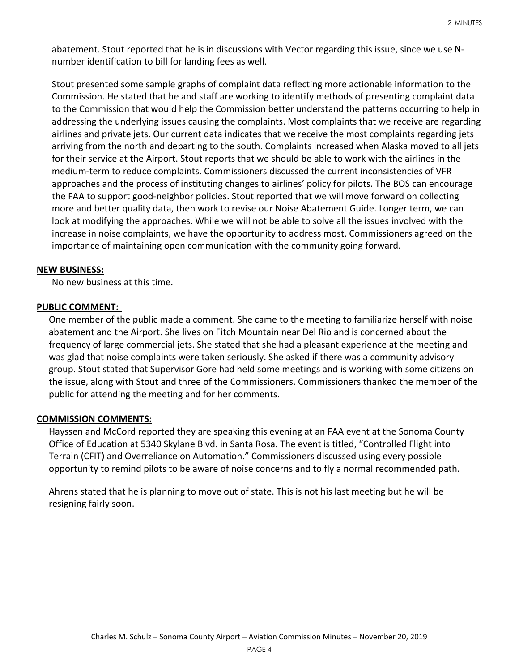abatement. Stout reported that he is in discussions with Vector regarding this issue, since we use Nnumber identification to bill for landing fees as well.

Stout presented some sample graphs of complaint data reflecting more actionable information to the Commission. He stated that he and staff are working to identify methods of presenting complaint data to the Commission that would help the Commission better understand the patterns occurring to help in addressing the underlying issues causing the complaints. Most complaints that we receive are regarding airlines and private jets. Our current data indicates that we receive the most complaints regarding jets arriving from the north and departing to the south. Complaints increased when Alaska moved to all jets for their service at the Airport. Stout reports that we should be able to work with the airlines in the medium-term to reduce complaints. Commissioners discussed the current inconsistencies of VFR approaches and the process of instituting changes to airlines' policy for pilots. The BOS can encourage the FAA to support good-neighbor policies. Stout reported that we will move forward on collecting more and better quality data, then work to revise our Noise Abatement Guide. Longer term, we can look at modifying the approaches. While we will not be able to solve all the issues involved with the increase in noise complaints, we have the opportunity to address most. Commissioners agreed on the importance of maintaining open communication with the community going forward.

#### **NEW BUSINESS:**

No new business at this time.

#### **PUBLIC COMMENT:**

One member of the public made a comment. She came to the meeting to familiarize herself with noise abatement and the Airport. She lives on Fitch Mountain near Del Rio and is concerned about the frequency of large commercial jets. She stated that she had a pleasant experience at the meeting and was glad that noise complaints were taken seriously. She asked if there was a community advisory group. Stout stated that Supervisor Gore had held some meetings and is working with some citizens on the issue, along with Stout and three of the Commissioners. Commissioners thanked the member of the public for attending the meeting and for her comments.

#### **COMMISSION COMMENTS:**

Hayssen and McCord reported they are speaking this evening at an FAA event at the Sonoma County Office of Education at 5340 Skylane Blvd. in Santa Rosa. The event is titled, "Controlled Flight into Terrain (CFIT) and Overreliance on Automation." Commissioners discussed using every possible opportunity to remind pilots to be aware of noise concerns and to fly a normal recommended path.

Ahrens stated that he is planning to move out of state. This is not his last meeting but he will be resigning fairly soon.